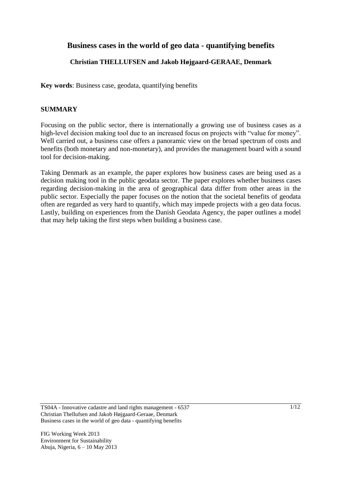# **Business cases in the world of geo data - quantifying benefits**

# **Christian THELLUFSEN and Jakob Højgaard-GERAAE, Denmark**

**Key words**: Business case, geodata, quantifying benefits

# **SUMMARY**

Focusing on the public sector, there is internationally a growing use of business cases as a high-level decision making tool due to an increased focus on projects with "value for money". Well carried out, a business case offers a panoramic view on the broad spectrum of costs and benefits (both monetary and non-monetary), and provides the management board with a sound tool for decision-making.

Taking Denmark as an example, the paper explores how business cases are being used as a decision making tool in the public geodata sector. The paper explores whether business cases regarding decision-making in the area of geographical data differ from other areas in the public sector. Especially the paper focuses on the notion that the societal benefits of geodata often are regarded as very hard to quantify, which may impede projects with a geo data focus. Lastly, building on experiences from the Danish Geodata Agency, the paper outlines a model that may help taking the first steps when building a business case.

TS04A - Innovative cadastre and land rights management - 6537 Christian Thellufsen and Jakob Højgaard-Geraae, Denmark Business cases in the world of geo data - quantifying benefits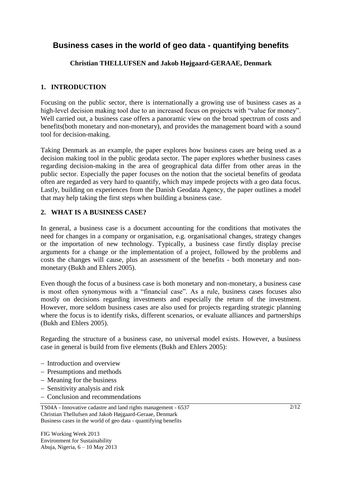# **Business cases in the world of geo data - quantifying benefits**

# **Christian THELLUFSEN and Jakob Højgaard-GERAAE, Denmark**

## **1. INTRODUCTION**

Focusing on the public sector, there is internationally a growing use of business cases as a high-level decision making tool due to an increased focus on projects with "value for money". Well carried out, a business case offers a panoramic view on the broad spectrum of costs and benefits(both monetary and non-monetary), and provides the management board with a sound tool for decision-making.

Taking Denmark as an example, the paper explores how business cases are being used as a decision making tool in the public geodata sector. The paper explores whether business cases regarding decision-making in the area of geographical data differ from other areas in the public sector. Especially the paper focuses on the notion that the societal benefits of geodata often are regarded as very hard to quantify, which may impede projects with a geo data focus. Lastly, building on experiences from the Danish Geodata Agency, the paper outlines a model that may help taking the first steps when building a business case.

### **2. WHAT IS A BUSINESS CASE?**

In general, a business case is a document accounting for the conditions that motivates the need for changes in a company or organisation, e.g. organisational changes, strategy changes or the importation of new technology. Typically, a business case firstly display precise arguments for a change or the implementation of a project, followed by the problems and costs the changes will cause, plus an assessment of the benefits - both monetary and nonmonetary (Bukh and Ehlers 2005).

Even though the focus of a business case is both monetary and non-monetary, a business case is most often synonymous with a "financial case". As a rule, business cases focuses also mostly on decisions regarding investments and especially the return of the investment. However, more seldom business cases are also used for projects regarding strategic planning where the focus is to identify risks, different scenarios, or evaluate alliances and partnerships (Bukh and Ehlers 2005).

Regarding the structure of a business case, no universal model exists. However, a business case in general is build from five elements (Bukh and Ehlers 2005):

- Introduction and overview
- Presumptions and methods
- Meaning for the business
- Sensitivity analysis and risk
- Conclusion and recommendations

TS04A - Innovative cadastre and land rights management - 6537 Christian Thellufsen and Jakob Højgaard-Geraae, Denmark Business cases in the world of geo data - quantifying benefits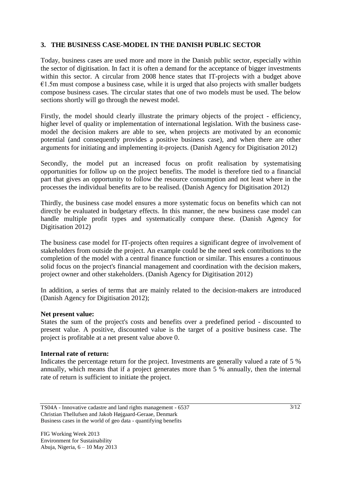### **3. THE BUSINESS CASE-MODEL IN THE DANISH PUBLIC SECTOR**

Today, business cases are used more and more in the Danish public sector, especially within the sector of digitisation. In fact it is often a demand for the acceptance of bigger investments within this sector. A circular from 2008 hence states that IT-projects with a budget above  $€1.5m$  must compose a business case, while it is urged that also projects with smaller budgets compose business cases. The circular states that one of two models must be used. The below sections shortly will go through the newest model.

Firstly, the model should clearly illustrate the primary objects of the project - efficiency, higher level of quality or implementation of international legislation. With the business casemodel the decision makers are able to see, when projects are motivated by an economic potential (and consequently provides a positive business case), and when there are other arguments for initiating and implementing it-projects. (Danish Agency for Digitisation 2012)

Secondly, the model put an increased focus on profit realisation by systematising opportunities for follow up on the project benefits. The model is therefore tied to a financial part that gives an opportunity to follow the resource consumption and not least where in the processes the individual benefits are to be realised. (Danish Agency for Digitisation 2012)

Thirdly, the business case model ensures a more systematic focus on benefits which can not directly be evaluated in budgetary effects. In this manner, the new business case model can handle multiple profit types and systematically compare these. (Danish Agency for Digitisation 2012)

The business case model for IT-projects often requires a significant degree of involvement of stakeholders from outside the project. An example could be the need seek contributions to the completion of the model with a central finance function or similar. This ensures a continuous solid focus on the project's financial management and coordination with the decision makers, project owner and other stakeholders. (Danish Agency for Digitisation 2012)

In addition, a series of terms that are mainly related to the decision-makers are introduced (Danish Agency for Digitisation 2012);

#### **Net present value:**

States the sum of the project's costs and benefits over a predefined period - discounted to present value. A positive, discounted value is the target of a positive business case. The project is profitable at a net present value above 0.

#### **Internal rate of return:**

Indicates the percentage return for the project. Investments are generally valued a rate of 5 % annually, which means that if a project generates more than 5 % annually, then the internal rate of return is sufficient to initiate the project.

TS04A - Innovative cadastre and land rights management - 6537 Christian Thellufsen and Jakob Højgaard-Geraae, Denmark Business cases in the world of geo data - quantifying benefits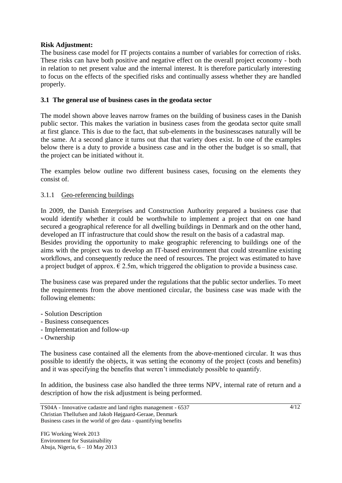### **Risk Adjustment:**

The business case model for IT projects contains a number of variables for correction of risks. These risks can have both positive and negative effect on the overall project economy - both in relation to net present value and the internal interest. It is therefore particularly interesting to focus on the effects of the specified risks and continually assess whether they are handled properly.

# **3.1 The general use of business cases in the geodata sector**

The model shown above leaves narrow frames on the building of business cases in the Danish public sector. This makes the variation in business cases from the geodata sector quite small at first glance. This is due to the fact, that sub-elements in the businesscases naturally will be the same. At a second glance it turns out that that variety does exist. In one of the examples below there is a duty to provide a business case and in the other the budget is so small, that the project can be initiated without it.

The examples below outline two different business cases, focusing on the elements they consist of.

# 3.1.1 Geo-referencing buildings

In 2009, the Danish Enterprises and Construction Authority prepared a business case that would identify whether it could be worthwhile to implement a project that on one hand secured a geographical reference for all dwelling buildings in Denmark and on the other hand, developed an IT infrastructure that could show the result on the basis of a cadastral map.

Besides providing the opportunity to make geographic referencing to buildings one of the aims with the project was to develop an IT-based environment that could streamline existing workflows, and consequently reduce the need of resources. The project was estimated to have a project budget of approx.  $\epsilon$  2.5m, which triggered the obligation to provide a business case.

The business case was prepared under the regulations that the public sector underlies. To meet the requirements from the above mentioned circular, the business case was made with the following elements:

- Solution Description
- Business consequences
- Implementation and follow-up
- Ownership

The business case contained all the elements from the above-mentioned circular. It was thus possible to identify the objects, it was setting the economy of the project (costs and benefits) and it was specifying the benefits that weren't immediately possible to quantify.

In addition, the business case also handled the three terms NPV, internal rate of return and a description of how the risk adjustment is being performed.

TS04A - Innovative cadastre and land rights management - 6537 Christian Thellufsen and Jakob Højgaard-Geraae, Denmark Business cases in the world of geo data - quantifying benefits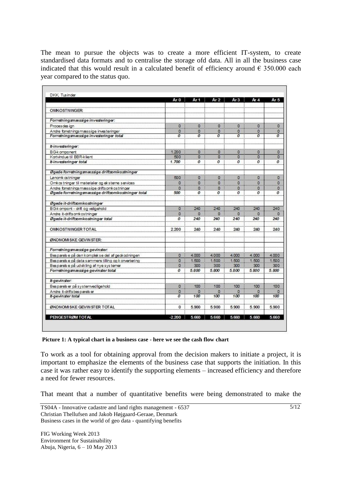The mean to pursue the objects was to create a more efficient IT-system, to create standardised data formats and to centralise the storage ofd data. All in all the business case indicated that this would result in a calculated benefit of efficiency around  $\epsilon$  350.000 each year compared to the status quo.

|                                                     | Ar 0                    | Ar 1             | Ar $2$                  | Ar <sub>3</sub>  | Ar $4$           | Ar 5                                     |
|-----------------------------------------------------|-------------------------|------------------|-------------------------|------------------|------------------|------------------------------------------|
| <b>OMKOSTNINGER:</b>                                |                         |                  |                         |                  |                  |                                          |
| Forretningsmæssige investeringer:                   |                         |                  |                         |                  |                  |                                          |
| Proces des ign                                      |                         | 0                | $\overline{\mathbf{0}}$ | $\overline{0}$   | $\overline{0}$   |                                          |
| Andre forretnings mæssige investeringer             | ö<br>0                  | 0                | 0                       | 0                | $\circ$          | $\overline{0}$<br>$\circ$                |
| Forretningsmæssige investeringer total              | 0                       | ō                | $\overline{0}$          | $\overline{0}$   | $\overline{0}$   | $\overline{o}$                           |
| It-investeringer:                                   |                         |                  |                         |                  |                  |                                          |
| <b>BG-k</b> omponent                                | 1.200                   | 0                | ٥                       | 0                | 0                | $\circ$                                  |
| Kortvindue til BBR-klient                           | 500                     | O.               | $\overline{0}$          | $\overline{0}$   | $\overline{0}$   | $\overline{0}$                           |
| It-investeringer total                              | 1.700                   | 0                | о                       | 0                | о                | 0                                        |
| Øgede forretningsmæssige driftsomkostninger         |                         |                  |                         |                  |                  |                                          |
| Lønomk ostninger                                    | 500                     | o                | $\overline{0}$          | $\overline{0}$   | $\overline{0}$   | $\overset{\text{\normalsize{0}}}{\dots}$ |
| Omkostninger til materialer og eksterne services    | $\ddot{\phantom{0}}$    | $\overline{0}$   | $\overline{0}$          | $\overline{0}$   | $\overline{0}$   | $\overline{0}$                           |
| Andre forretningsmæssige driftsomkostninger         | 0                       | $\overline{0}$   | $\overline{\mathbf{0}}$ | $\Omega$         | o                | $\Omega$                                 |
| Øgede forretningsmæssige driftsomkostninger total   | 500                     | $\boldsymbol{0}$ | $\boldsymbol{0}$        | $\boldsymbol{0}$ | $\boldsymbol{o}$ | $\boldsymbol{o}$                         |
| Øgede it-driftsomkostninger                         |                         |                  |                         |                  |                  |                                          |
| BG-k ompont - drift og veligehold                   | 0                       | 240              | 240                     | 240              | 240              | 240                                      |
| Andre it-driftsomkostninger                         | $\overline{\mathbf{0}}$ | ö                | ö                       |                  |                  | $\circ$                                  |
| Øgede it-driftsomkostninger total                   | 0                       | 240              | 240                     | 240              | 240              | 240                                      |
| <b>OMKOSTNINGER TOTAL</b>                           | 2.200                   | 240              | 240                     | 240              | 240              | 240                                      |
| ØKONOMISKE GEVINSTER:                               |                         |                  |                         |                  |                  |                                          |
| Forretningsmæssige gevinster:                       |                         |                  |                         |                  |                  |                                          |
| Besparels e på den komplekse del af geokodningen    | 0                       | 4.000            | 4.000                   | 4.000            | 4.000            | 4.000                                    |
| Besparels e på data sammens tilling og konvertering | O.                      | 1.500            | 1.500                   | 1.500            | 1.500            | 1.500                                    |
| Besparels e på udvikling af nye systemer            | o                       | 300              | 300                     | 300              | 300              | 300                                      |
| Forretningsmæssige gevinster total                  | 0                       | 5.800            | 5.800                   | 5.800            | 5.800            | 5.800                                    |
| It-gevinster:                                       |                         |                  |                         |                  |                  |                                          |
| Besparels er på systemvedligehold                   | 0                       | 100              | 100                     | 100              | 100              | 100                                      |
| Andre it-drifts besparels er                        | o                       | о                | ю                       | Ю                | 0                | 0                                        |
| It-gevinster total                                  | $\boldsymbol{o}$        | 100              | 100                     | 100              | 100              | 100                                      |
| ØKONOMISKE GEVINSTER TOTAL                          | 0                       | 5.900            | 5.900                   | 5.900            | 5.900            | 5.900                                    |
| PENGESTRØM TOTAL                                    | $-2.200$                | 5.660            | 5.660                   | 5.660            | 5.660            | 5.660                                    |

**Picture 1: A typical chart in a business case - here we see the cash flow chart**

To work as a tool for obtaining approval from the decision makers to initiate a project, it is important to emphasize the elements of the business case that supports the initiation. In this case it was rather easy to identify the supporting elements – increased efficiency and therefore a need for fewer resources.

That meant that a number of quantitative benefits were being demonstrated to make the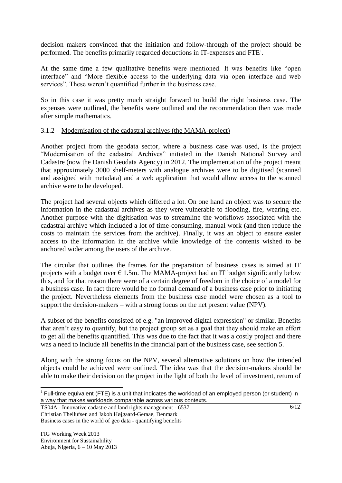decision makers convinced that the initiation and follow-through of the project should be performed. The benefits primarily regarded deductions in IT-expenses and FTE<sup>1</sup>.

At the same time a few qualitative benefits were mentioned. It was benefits like "open interface" and "More flexible access to the underlying data via open interface and web services". These weren't quantified further in the business case.

So in this case it was pretty much straight forward to build the right business case. The expenses were outlined, the benefits were outlined and the recommendation then was made after simple mathematics.

#### 3.1.2 Modernisation of the cadastral archives (the MAMA-project)

Another project from the geodata sector, where a business case was used, is the project "Modernisation of the cadastral Archives" initiated in the Danish National Survey and Cadastre (now the Danish Geodata Agency) in 2012. The implementation of the project meant that approximately 3000 shelf-meters with analogue archives were to be digitised (scanned and assigned with metadata) and a web application that would allow access to the scanned archive were to be developed.

The project had several objects which differed a lot. On one hand an object was to secure the information in the cadastral archives as they were vulnerable to flooding, fire, wearing etc. Another purpose with the digitisation was to streamline the workflows associated with the cadastral archive which included a lot of time-consuming, manual work (and then reduce the costs to maintain the services from the archive). Finally, it was an object to ensure easier access to the information in the archive while knowledge of the contents wished to be anchored wider among the users of the archive.

The circular that outlines the frames for the preparation of business cases is aimed at IT projects with a budget over  $\epsilon$  1.5m. The MAMA-project had an IT budget significantly below this, and for that reason there were of a certain degree of freedom in the choice of a model for a business case. In fact there would be no formal demand of a business case prior to initiating the project. Nevertheless elements from the business case model were chosen as a tool to support the decision-makers – with a strong focus on the net present value (NPV).

A subset of the benefits consisted of e.g. "an improved digital expression" or similar. Benefits that aren't easy to quantify, but the project group set as a goal that they should make an effort to get all the benefits quantified. This was due to the fact that it was a costly project and there was a need to include all benefits in the financial part of the business case, see section 5.

Along with the strong focus on the NPV, several alternative solutions on how the intended objects could be achieved were outlined. The idea was that the decision-makers should be able to make their decision on the project in the light of both the level of investment, return of

TS04A - Innovative cadastre and land rights management - 6537 Christian Thellufsen and Jakob Højgaard-Geraae, Denmark Business cases in the world of geo data - quantifying benefits

 $\overline{a}$  $1$  Full-time equivalent (FTE) is a unit that indicates the workload of an employed person (or student) in a way that makes workloads comparable across various contexts.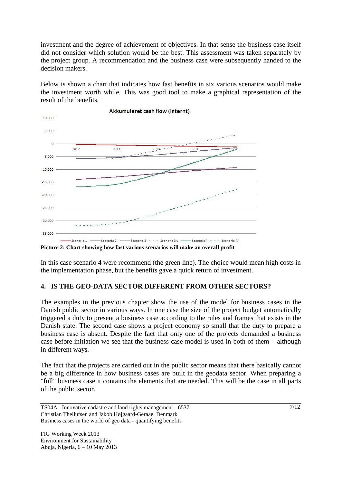investment and the degree of achievement of objectives. In that sense the business case itself did not consider which solution would be the best. This assessment was taken separately by the project group. A recommendation and the business case were subsequently handed to the decision makers.

Below is shown a chart that indicates how fast benefits in six various scenarios would make the investment worth while. This was good tool to make a graphical representation of the result of the benefits.



**Picture 2: Chart showing how fast various scenarios will make an overall profit**

In this case scenario 4 were recommend (the green line). The choice would mean high costs in the implementation phase, but the benefits gave a quick return of investment.

### **4. IS THE GEO-DATA SECTOR DIFFERENT FROM OTHER SECTORS?**

The examples in the previous chapter show the use of the model for business cases in the Danish public sector in various ways. In one case the size of the project budget automatically triggered a duty to present a business case according to the rules and frames that exists in the Danish state. The second case shows a project economy so small that the duty to prepare a business case is absent. Despite the fact that only one of the projects demanded a business case before initiation we see that the business case model is used in both of them – although in different ways.

The fact that the projects are carried out in the public sector means that there basically cannot be a big difference in how business cases are built in the geodata sector. When preparing a "full" business case it contains the elements that are needed. This will be the case in all parts of the public sector.

TS04A - Innovative cadastre and land rights management - 6537 Christian Thellufsen and Jakob Højgaard-Geraae, Denmark Business cases in the world of geo data - quantifying benefits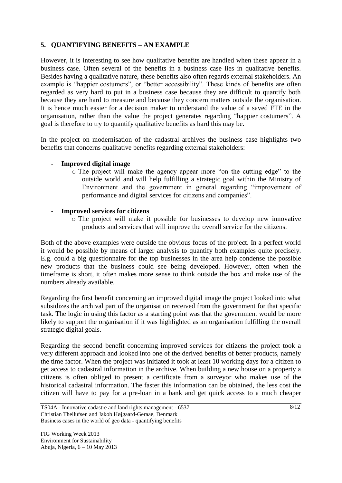# **5. QUANTIFYING BENEFITS – AN EXAMPLE**

However, it is interesting to see how qualitative benefits are handled when these appear in a business case. Often several of the benefits in a business case lies in qualitative benefits. Besides having a qualitative nature, these benefits also often regards external stakeholders. An example is "happier costumers", or "better accessibility". These kinds of benefits are often regarded as very hard to put in a business case because they are difficult to quantify both because they are hard to measure and because they concern matters outside the organisation. It is hence much easier for a decision maker to understand the value of a saved FTE in the organisation, rather than the value the project generates regarding "happier costumers". A goal is therefore to try to quantify qualitative benefits as hard this may be.

In the project on modernisation of the cadastral archives the business case highlights two benefits that concerns qualitative benefits regarding external stakeholders:

### - **Improved digital image**

- o The project will make the agency appear more "on the cutting edge" to the outside world and will help fulfilling a strategic goal within the Ministry of Environment and the government in general regarding "improvement of performance and digital services for citizens and companies".
- **Improved services for citizens** 
	- o The project will make it possible for businesses to develop new innovative products and services that will improve the overall service for the citizens.

Both of the above examples were outside the obvious focus of the project. In a perfect world it would be possible by means of larger analysis to quantify both examples quite precisely. E.g. could a big questionnaire for the top businesses in the area help condense the possible new products that the business could see being developed. However, often when the timeframe is short, it often makes more sense to think outside the box and make use of the numbers already available.

Regarding the first benefit concerning an improved digital image the project looked into what subsidizes the archival part of the organisation received from the government for that specific task. The logic in using this factor as a starting point was that the government would be more likely to support the organisation if it was highlighted as an organisation fulfilling the overall strategic digital goals.

Regarding the second benefit concerning improved services for citizens the project took a very different approach and looked into one of the derived benefits of better products, namely the time factor. When the project was initiated it took at least 10 working days for a citizen to get access to cadastral information in the archive. When building a new house on a property a citizens is often obliged to present a certificate from a surveyor who makes use of the historical cadastral information. The faster this information can be obtained, the less cost the citizen will have to pay for a pre-loan in a bank and get quick access to a much cheaper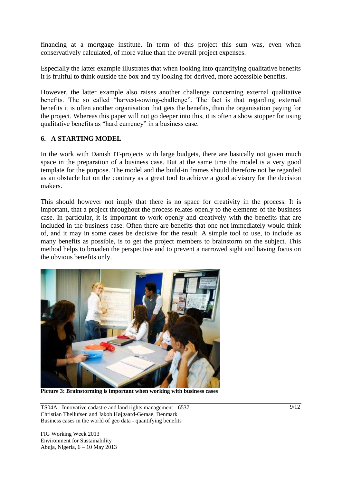financing at a mortgage institute. In term of this project this sum was, even when conservatively calculated, of more value than the overall project expenses.

Especially the latter example illustrates that when looking into quantifying qualitative benefits it is fruitful to think outside the box and try looking for derived, more accessible benefits.

However, the latter example also raises another challenge concerning external qualitative benefits. The so called "harvest-sowing-challenge". The fact is that regarding external benefits it is often another organisation that gets the benefits, than the organisation paying for the project. Whereas this paper will not go deeper into this, it is often a show stopper for using qualitative benefits as "hard currency" in a business case.

#### **6. A STARTING MODEL**

In the work with Danish IT-projects with large budgets, there are basically not given much space in the preparation of a business case. But at the same time the model is a very good template for the purpose. The model and the build-in frames should therefore not be regarded as an obstacle but on the contrary as a great tool to achieve a good advisory for the decision makers.

This should however not imply that there is no space for creativity in the process. It is important, that a project throughout the process relates openly to the elements of the business case. In particular, it is important to work openly and creatively with the benefits that are included in the business case. Often there are benefits that one not immediately would think of, and it may in some cases be decisive for the result. A simple tool to use, to include as many benefits as possible, is to get the project members to brainstorm on the subject. This method helps to broaden the perspective and to prevent a narrowed sight and having focus on the obvious benefits only.



**Picture 3: Brainstorming is important when working with business cases**

TS04A - Innovative cadastre and land rights management - 6537 Christian Thellufsen and Jakob Højgaard-Geraae, Denmark Business cases in the world of geo data - quantifying benefits

FIG Working Week 2013 Environment for Sustainability Abuja, Nigeria, 6 – 10 May 2013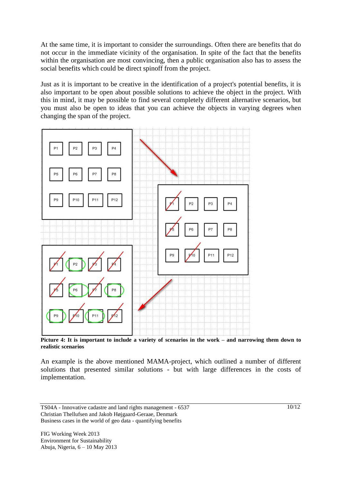At the same time, it is important to consider the surroundings. Often there are benefits that do not occur in the immediate vicinity of the organisation. In spite of the fact that the benefits within the organisation are most convincing, then a public organisation also has to assess the social benefits which could be direct spinoff from the project.

Just as it is important to be creative in the identification of a project's potential benefits, it is also important to be open about possible solutions to achieve the object in the project. With this in mind, it may be possible to find several completely different alternative scenarios, but you must also be open to ideas that you can achieve the objects in varying degrees when changing the span of the project.



**Picture 4: It is important to include a variety of scenarios in the work – and narrowing them down to realistic scenarios**

An example is the above mentioned MAMA-project, which outlined a number of different solutions that presented similar solutions - but with large differences in the costs of implementation.

TS04A - Innovative cadastre and land rights management - 6537 Christian Thellufsen and Jakob Højgaard-Geraae, Denmark Business cases in the world of geo data - quantifying benefits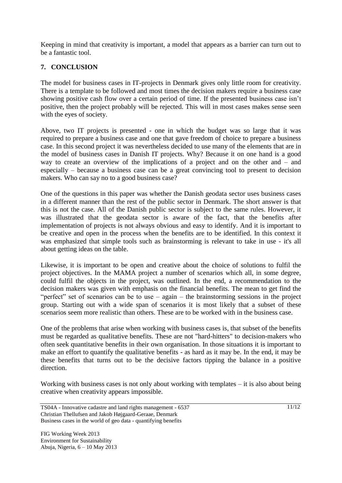Keeping in mind that creativity is important, a model that appears as a barrier can turn out to be a fantastic tool.

# **7. CONCLUSION**

The model for business cases in IT-projects in Denmark gives only little room for creativity. There is a template to be followed and most times the decision makers require a business case showing positive cash flow over a certain period of time. If the presented business case isn't positive, then the project probably will be rejected. This will in most cases makes sense seen with the eyes of society.

Above, two IT projects is presented - one in which the budget was so large that it was required to prepare a business case and one that gave freedom of choice to prepare a business case. In this second project it was nevertheless decided to use many of the elements that are in the model of business cases in Danish IT projects. Why? Because it on one hand is a good way to create an overview of the implications of a project and on the other and – and especially – because a business case can be a great convincing tool to present to decision makers. Who can say no to a good business case?

One of the questions in this paper was whether the Danish geodata sector uses business cases in a different manner than the rest of the public sector in Denmark. The short answer is that this is not the case. All of the Danish public sector is subject to the same rules. However, it was illustrated that the geodata sector is aware of the fact, that the benefits after implementation of projects is not always obvious and easy to identify. And it is important to be creative and open in the process when the benefits are to be identified. In this context it was emphasized that simple tools such as brainstorming is relevant to take in use - it's all about getting ideas on the table.

Likewise, it is important to be open and creative about the choice of solutions to fulfil the project objectives. In the MAMA project a number of scenarios which all, in some degree, could fulfil the objects in the project, was outlined. In the end, a recommendation to the decision makers was given with emphasis on the financial benefits. The mean to get find the "perfect" set of scenarios can be to use – again – the brainstorming sessions in the project group. Starting out with a wide span of scenarios it is most likely that a subset of these scenarios seem more realistic than others. These are to be worked with in the business case.

One of the problems that arise when working with business cases is, that subset of the benefits must be regarded as qualitative benefits. These are not "hard-hitters" to decision-makers who often seek quantitative benefits in their own organisation. In those situations it is important to make an effort to quantify the qualitative benefits - as hard as it may be. In the end, it may be these benefits that turns out to be the decisive factors tipping the balance in a positive direction.

Working with business cases is not only about working with templates – it is also about being creative when creativity appears impossible.